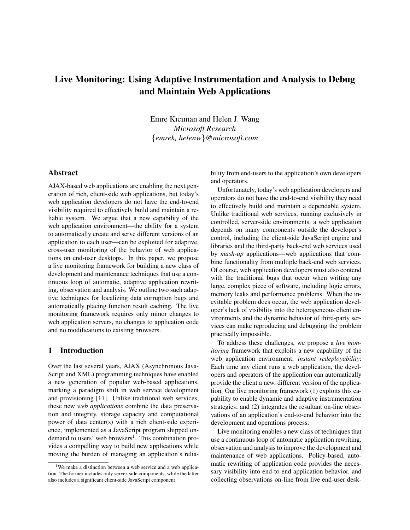# Live Monitoring: Using Adaptive Instrumentation and Analysis to Debug and Maintain Web Applications

Emre Kıcıman and Helen J. Wang *Microsoft Research* {*emrek, helenw*}*@microsoft.com*

## Abstract

AJAX-based web applications are enabling the next generation of rich, client-side web applications, but today's web application developers do not have the end-to-end visibility required to effectively build and maintain a reliable system. We argue that a new capability of the web application environment—the ability for a system to automatically create and serve different versions of an application to each user—can be exploited for adaptive, cross-user monitoring of the behavior of web applications on end-user desktops. In this paper, we propose a live monitoring framework for building a new class of development and maintenance techniques that use a continuous loop of automatic, adaptive application rewriting, observation and analysis. We outline two such adaptive techniques for localizing data corruption bugs and automatically placing function result caching. The live monitoring framework requires only minor changes to web application servers, no changes to application code and no modifications to existing browsers.

### 1 Introduction

Over the last several years, AJAX (Asynchronous Java-Script and XML) programming techniques have enabled a new generation of popular web-based applications, marking a paradigm shift in web service development and provisioning [11]. Unlike traditional web services, these new *web applications* combine the data preservation and integrity, storage capacity and computational power of data center(s) with a rich client-side experience, implemented as a JavaScript program shipped ondemand to users' web browsers<sup>1</sup>. This combination provides a compelling way to build new applications while moving the burden of managing an application's reliability from end-users to the application's own developers and operators.

Unfortunately, today's web application developers and operators do not have the end-to-end visibility they need to effectively build and maintain a dependable system. Unlike traditional web services, running exclusively in controlled, server-side environments, a web application depends on many components outside the developer's control, including the client-side JavaScript engine and libraries and the third-party back-end web services used by *mash-up* applications—web applications that combine functionality from multiple back-end web services. Of course, web application developers must also contend with the traditional bugs that occur when writing any large, complex piece of software, including logic errors, memory leaks and performance problems. When the inevitable problem does occur, the web application developer's lack of visibility into the heterogeneous client environments and the dynamic behavior of third-party services can make reproducing and debugging the problem practically impossible.

To address these challenges, we propose a *live monitoring* framework that exploits a new capability of the web application environment, *instant redeployability*: Each time any client runs a web application, the developers and operators of the application can automatically provide the client a new, different version of the application. Our live monitoring framework (1) exploits this capability to enable dynamic and adaptive instrumentation strategies; and (2) integrates the resultant on-line observations of an application's end-to-end behavior into the development and operations process.

Live monitoring enables a new class of techniques that use a continuous loop of automatic application rewriting, observation and analysis to improve the development and maintenance of web applications. Policy-based, automatic rewriting of application code provides the necessary visibility into end-to-end application behavior, and collecting observations on-line from live end-user desk-

<sup>&</sup>lt;sup>1</sup>We make a distinction between a web service and a web application. The former includes only server-side components, while the latter also includes a significant client-side JavaScript component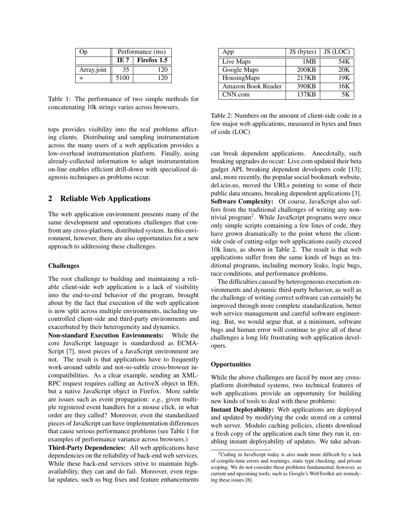|            | Performance (ms) |             |
|------------|------------------|-------------|
|            | IE 7             | Firefox 1.5 |
| Array.join | 35               | 120         |
|            | 5100             | 120         |

Table 1: The performance of two simple methods for concatenating 10k strings varies across browsers.

tops provides visibility into the real problems affecting clients. Distributing and sampling instrumentation across the many users of a web application provides a low-overhead instrumentation platform. Finally, using already-collected information to adapt instrumentation on-line enables efficient drill-down with specialized diagnosis techniques as problems occur.

### 2 Reliable Web Applications

The web application environment presents many of the same development and operations challenges that confront any cross-platform, distributed system. In this environment, however, there are also opportunities for a new approach to addressing these challenges.

#### Challenges

The root challenge to building and maintaining a reliable client-side web application is a lack of visibility into the end-to-end behavior of the program, brought about by the fact that execution of the web application is now split across multiple environments, including uncontrolled client-side and third-party environments and exacerbated by their heterogeneity and dynamics.

Non-standard Execution Environments: While the core JavaScript language is standardized as ECMA-Script [7], most pieces of a JavaScript environment are not. The result is that applications have to frequently work-around subtle and not-so-subtle cross-browser incompatibilities. As a clear example, sending an XML-RPC request requires calling an ActiveX object in IE6, but a native JavaScript object in Firefox. More subtle are issues such as event propagation: *e.g.*, given multiple registered event handlers for a mouse click, in what order are they called? Moreover, even the standardized pieces of JavaScript can have implementation differences that cause serious performance problems (see Table 1 for examples of performance variance across browsers.)

Third-Party Dependencies: All web applications have dependencies on the reliability of back-end web services. While these back-end services strive to maintain highavailability, they can and do fail. Moreover, even regular updates, such as bug fixes and feature enhancements

| App                | JS (bytes) | JS (LOC) |
|--------------------|------------|----------|
| Live Maps          | 1MB        | 54K      |
| Google Maps        | 200KB      | 20K      |
| HousingMaps        | 213KB      | 19K      |
| Amazon Book Reader | 390KB      | 16K      |
| CNN.com            | 137KB      | 5К       |

Table 2: Numbers on the amount of client-side code in a few major web applications, measured in bytes and lines of code (LOC)

can break dependent applications. Anecdotally, such breaking upgrades do occur: Live.com updated their beta gadget API, breaking dependent developers code [13]; and, more recently, the popular social bookmark website, del.icio.us, moved the URLs pointing to some of their public data streams, breaking dependent applications [3]. Software Complexity: Of course, JavaScript also suffers from the traditional challenges of writing any nontrivial program<sup>2</sup>. While JavaScript programs were once only simple scripts containing a few lines of code, they have grown dramatically to the point where the clientside code of cutting-edge web applications easily exceed 10k lines, as shown in Table 2. The result is that web applications suffer from the same kinds of bugs as traditional programs, including memory leaks, logic bugs, race conditions, and performance problems.

The difficulties caused by heterogeneous execution environments and dynamic third-party behavior, as well as the challenge of writing correct software can certainly be improved through more complete standardization, better web service management and careful software engineering. But, we would argue that, at a minimum, software bugs and human error will continue to give all of these challenges a long life frustrating web application developers.

#### **Opportunities**

While the above challenges are faced by most any crossplatform distributed systems, two technical features of web applications provide an opportunity for building new kinds of tools to deal with these problems:

Instant Deployability: Web applications are deployed and updated by modifying the code stored on a central web server. Modulo caching policies, clients download a fresh copy of the application each time they run it, enabling instant deployability of updates. We take advan-

<sup>2</sup>Coding in JavaScript today is also made more difficult by a lack of compile-time errors and warnings, static type checking, and private scoping. We do not consider these problems fundamental, however, as current and upcoming tools, such as Google's WebToolkit are remedying these issues [8].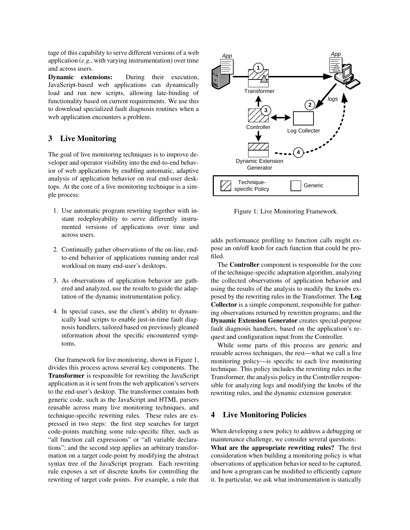tage of this capability to serve different versions of a web application (*e.g.*, with varying instrumentation) over time and across users.

Dynamic extensions: During their execution, JavaScript-based web applications can dynamically load and run new scripts, allowing late-binding of functionality based on current requirements. We use this to download specialized fault diagnosis routines when a web application encounters a problem.

# 3 Live Monitoring

The goal of live monitoring techniques is to improve developer and operator visibility into the end-to-end behavior of web applications by enabling automatic, adaptive analysis of application behavior on real end-user desktops. At the core of a live monitoring technique is a simple process:

- 1. Use automatic program rewriting together with instant redeployability to serve differently instrumented versions of applications over time and across users.
- 2. Continually gather observations of the on-line, endto-end behavior of applications running under real workload on many end-user's desktops.
- 3. As observations of application behavior are gathered and analyzed, use the results to guide the adaptation of the dynamic instrumentation policy.
- 4. In special cases, use the client's ability to dynamically load scripts to enable just-in-time fault diagnosis handlers, tailored based on previously gleaned information about the specific encountered symptoms.

Our framework for live monitoring, shown in Figure 1, divides this process across several key components. The Transformer is responsible for rewriting the JavaScript application as it is sent from the web application's servers to the end-user's desktop. The transformer contains both generic code, such as the JavaScript and HTML parsers reusable across many live monitoring techniques, and technique-specific rewriting rules. These rules are expressed in two steps: the first step searches for target code-points matching some rule-specific filter, such as "all function call expressions" or "all variable declarations"; and the second step applies an arbitrary transformation on a target code-point by modifying the abstract syntax tree of the JavaScript program. Each rewriting rule exposes a set of discrete knobs for controlling the rewriting of target code points. For example, a rule that



Figure 1: Live Monitoring Framework.

adds performance profiling to function calls might expose an on/off knob for each function that could be profiled.

The Controller component is responsible for the core of the technique-specific adaptation algorithm, analyzing the collected observations of application behavior and using the results of the analysis to modify the knobs exposed by the rewriting rules in the Transformer. The Log Collector is a simple component, responsible for gathering observations returned by rewritten programs; and the Dynamic Extension Generator creates special-purpose fault diagnosis handlers, based on the application's request and configuration input from the Controller.

While some parts of this process are generic and reusable across techniques, the rest—what we call a live monitoring policy—is specific to each live monitoring technique. This policy includes the rewriting rules in the Transformer, the analysis policy in the Controller responsible for analyzing logs and modifying the knobs of the rewriting rules, and the dynamic extension generator.

# 4 Live Monitoring Policies

When developing a new policy to address a debugging or maintenance challenge, we consider several questions: What are the appropriate rewriting rules? The first consideration when building a monitoring policy is what observations of application behavior need to be captured, and how a program can be modified to efficiently capture it. In particular, we ask what instrumentation is statically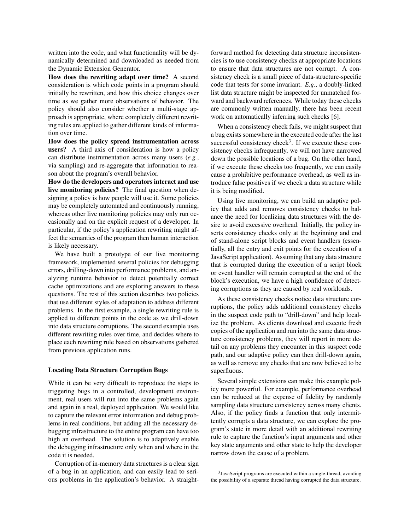written into the code, and what functionality will be dynamically determined and downloaded as needed from the Dynamic Extension Generator.

How does the rewriting adapt over time? A second consideration is which code points in a program should initially be rewritten, and how this choice changes over time as we gather more observations of behavior. The policy should also consider whether a multi-stage approach is appropriate, where completely different rewriting rules are applied to gather different kinds of information over time.

How does the policy spread instrumentation across users? A third axis of consideration is how a policy can distribute instrumentation across many users (*e.g.*, via sampling) and re-aggregate that information to reason about the program's overall behavior.

How do the developers and operators interact and use live monitoring policies? The final question when designing a policy is how people will use it. Some policies may be completely automated and continuously running, whereas other live monitoring policies may only run occasionally and on the explicit request of a developer. In particular, if the policy's application rewriting might affect the semantics of the program then human interaction is likely necessary.

We have built a prototype of our live monitoring framework, implemented several policies for debugging errors, drilling-down into performance problems, and analyzing runtime behavior to detect potentially correct cache optimizations and are exploring answers to these questions. The rest of this section describes two policies that use different styles of adaptation to address different problems. In the first example, a single rewriting rule is applied to different points in the code as we drill-down into data structure corruptions. The second example uses different rewriting rules over time, and decides where to place each rewriting rule based on observations gathered from previous application runs.

#### Locating Data Structure Corruption Bugs

While it can be very difficult to reproduce the steps to triggering bugs in a controlled, development environment, real users will run into the same problems again and again in a real, deployed application. We would like to capture the relevant error information and debug problems in real conditions, but adding all the necessary debugging infrastructure to the entire program can have too high an overhead. The solution is to adaptively enable the debugging infrastructure only when and where in the code it is needed.

Corruption of in-memory data structures is a clear sign of a bug in an application, and can easily lead to serious problems in the application's behavior. A straightforward method for detecting data structure inconsistencies is to use consistency checks at appropriate locations to ensure that data structures are not corrupt. A consistency check is a small piece of data-structure-specific code that tests for some invariant. *E.g.*, a doubly-linked list data structure might be inspected for unmatched forward and backward references. While today these checks are commonly written manually, there has been recent work on automatically inferring such checks [6].

When a consistency check fails, we might suspect that a bug exists somewhere in the executed code after the last successful consistency check<sup>3</sup>. If we execute these consistency checks infrequently, we will not have narrowed down the possible locations of a bug. On the other hand, if we execute these checks too frequently, we can easily cause a prohibitive performance overhead, as well as introduce false positives if we check a data structure while it is being modified.

Using live monitoring, we can build an adaptive policy that adds and removes consistency checks to balance the need for localizing data structures with the desire to avoid excessive overhead. Initially, the policy inserts consistency checks only at the beginning and end of stand-alone script blocks and event handlers (essentially, all the entry and exit points for the execution of a JavaScript application). Assuming that any data structure that is corrupted during the execution of a script block or event handler will remain corrupted at the end of the block's execution, we have a high confidence of detecting corruptions as they are caused by real workloads.

As these consistency checks notice data structure corruptions, the policy adds additional consistency checks in the suspect code path to "drill-down" and help localize the problem. As clients download and execute fresh copies of the application and run into the same data structure consistency problems, they will report in more detail on any problems they encounter in this suspect code path, and our adaptive policy can then drill-down again, as well as remove any checks that are now believed to be superfluous.

Several simple extensions can make this example policy more powerful. For example, performance overhead can be reduced at the expense of fidelity by randomly sampling data structure consistency across many clients. Also, if the policy finds a function that only intermittently corrupts a data structure, we can explore the program's state in more detail with an additional rewriting rule to capture the function's input arguments and other key state arguments and other state to help the developer narrow down the cause of a problem.

<sup>&</sup>lt;sup>3</sup> JavaScript programs are executed within a single-thread, avoiding the possibility of a separate thread having corrupted the data structure.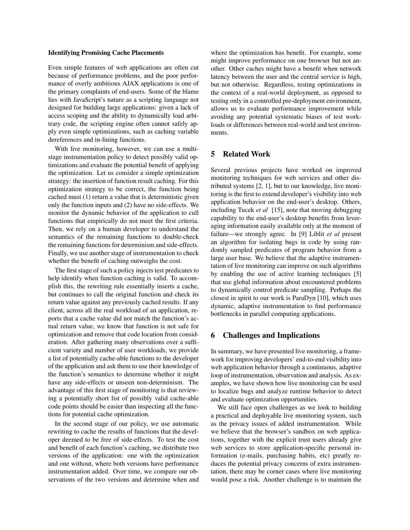#### Identifying Promising Cache Placements

Even simple features of web applications are often cut because of performance problems, and the poor performance of overly ambitious AJAX applications is one of the primary complaints of end-users. Some of the blame lies with JavaScript's nature as a scripting language not designed for building large applications: given a lack of access scoping and the ability to dynamically load arbitrary code, the scripting engine often cannot safely apply even simple optimizations, such as caching variable dereferences and in-lining functions.

With live monitoring, however, we can use a multistage instrumentation policy to detect possibly valid optimizations and evaluate the potential benefit of applying the optimization. Let us consider a simple optimization strategy: the insertion of function result caching. For this optimization strategy to be correct, the function being cached must (1) return a value that is deterministic given only the function inputs and (2) have no side-effects. We monitor the dynamic behavior of the application to cull functions that empirically do not meet the first criteria. Then, we rely on a human developer to understand the semantics of the remaining functions to double-check the remaining functions for determinism and side-effects. Finally, we use another stage of instrumentation to check whether the benefit of caching outweighs the cost.

The first stage of such a policy injects test predicates to help identify when function caching is valid. To accomplish this, the rewriting rule essentially inserts a cache, but continues to call the original function and check its return value against any previously cached results. If any client, across all the real workload of an application, reports that a cache value did not match the function's actual return value, we know that function is not safe for optimization and remove that code location from consideration. After gathering many observations over a sufficient variety and number of user workloads, we provide a list of potentially cache-able functions to the developer of the application and ask them to use their knowledge of the function's semantics to determine whether it might have any side-effects or unseen non-determinism. The advantage of this first stage of monitoring is that reviewing a potentially short list of possibly valid cache-able code points should be easier than inspecting all the functions for potential cache optimization.

In the second stage of our policy, we use automatic rewriting to cache the results of functions that the developer deemed to be free of side-effects. To test the cost and benefit of each function's caching, we distribute two versions of the application: one with the optimization and one without, where both versions have performance instrumentation added. Over time, we compare our observations of the two versions and determine when and where the optimization has benefit. For example, some might improve performance on one browser but not another. Other caches might have a benefit when network latency between the user and the central service is high, but not otherwise. Regardless, testing optimizations in the context of a real-world deployment, as opposed to testing only in a controlled pre-deployment environment, allows us to evaluate performance improvement while avoiding any potential systematic biases of test workloads or differences between real-world and test environments.

## 5 Related Work

Several previous projects have worked on improved monitoring techniques for web services and other distributed systems [2, 1], but to our knowledge, live monitoring is the first to extend developer's visibility into web application behavior on the end-user's desktop. Others, including Tucek *et al* [15], note that moving debugging capability to the end-user's desktop benefits from leveraging information easily available only at the moment of failure—we strongly agree. In [9] Liblit *et al* present an algorithm for isolating bugs in code by using randomly sampled predicates of program behavior from a large user base. We believe that the adaptive instrumentation of live monitoring can improve on such algorithms by enabling the use of active learning techniques [5] that use global information about encountered problems to dynamically control predicate sampling. Perhaps the closest in spirit to our work is ParaDyn [10], which uses dynamic, adaptive instrumentation to find performance bottlenecks in parallel computing applications.

### 6 Challenges and Implications

In summary, we have presented live monitoring, a framework for improving developers' end-to-end visibility into web application behavior through a continuous, adaptive loop of instrumentation, observation and analysis. As examples, we have shown how live monitoring can be used to localize bugs and analyze runtime behavior to detect and evaluate optimization opportunities.

We still face open challenges as we look to building a practical and deployable live monitoring system, such as the privacy issues of added instrumentation. While we believe that the browser's sandbox on web applications, together with the explicit trust users already give web services to store application-specific personal information (e-mails, purchasing habits, etc) greatly reduces the potential privacy concerns of extra instrumentation, there may be corner cases where live monitoring would pose a risk. Another challenge is to maintain the